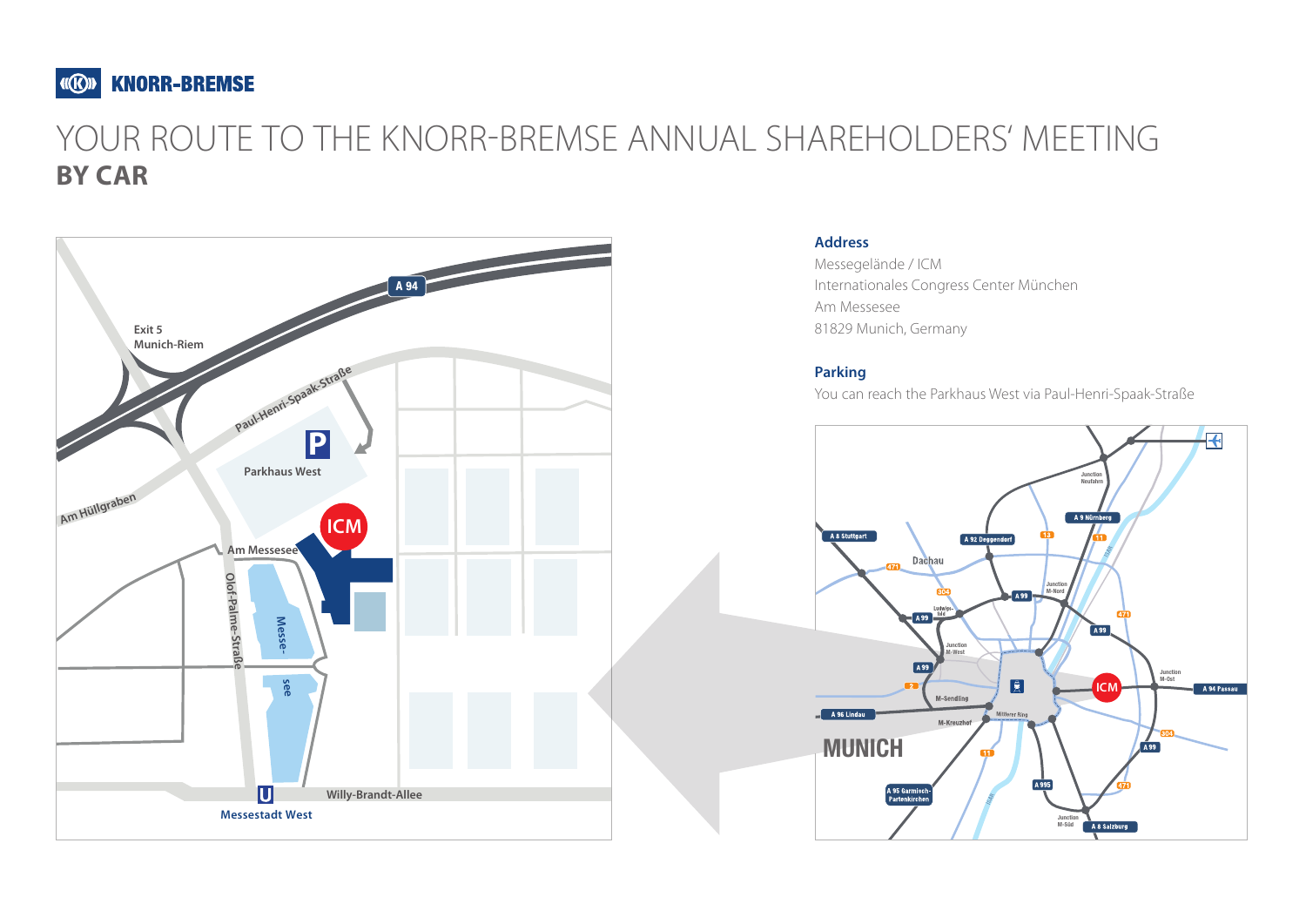

# YOUR ROUTE TO THE KNORR-BREMSE ANNUAL SHAREHOLDERS' MEETING **BY CAR**



### **Address**

Messegelände / ICM Internationales Congress Center München Am Messesee 81829 Munich, Germany

### **Parking**

You can reach the Parkhaus West via Paul-Henri-Spaak-Straße